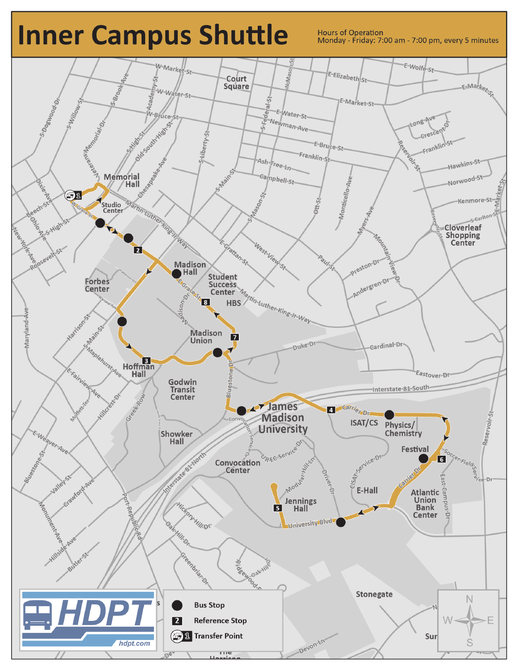## **Inner Campus Shuttle**

**Hours of Operation** Monday - Friday: 7:00 am - 7:00 pm, every 5 minutes